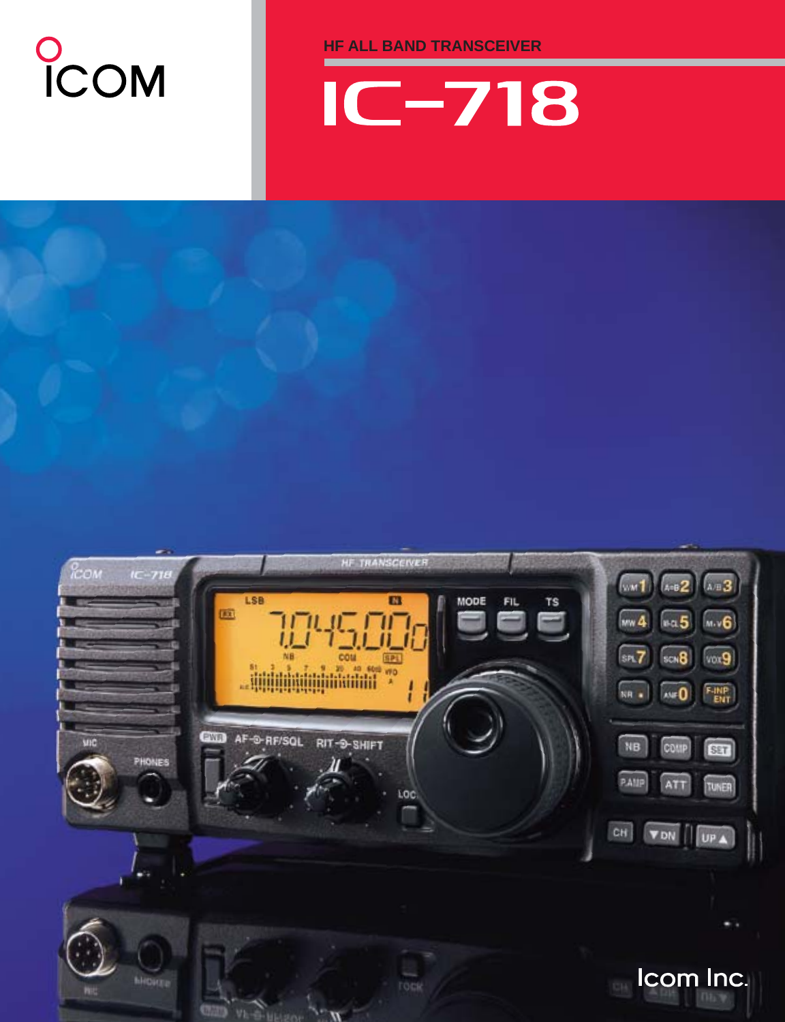## COM

**HF ALL BAND TRANSCEIVER**



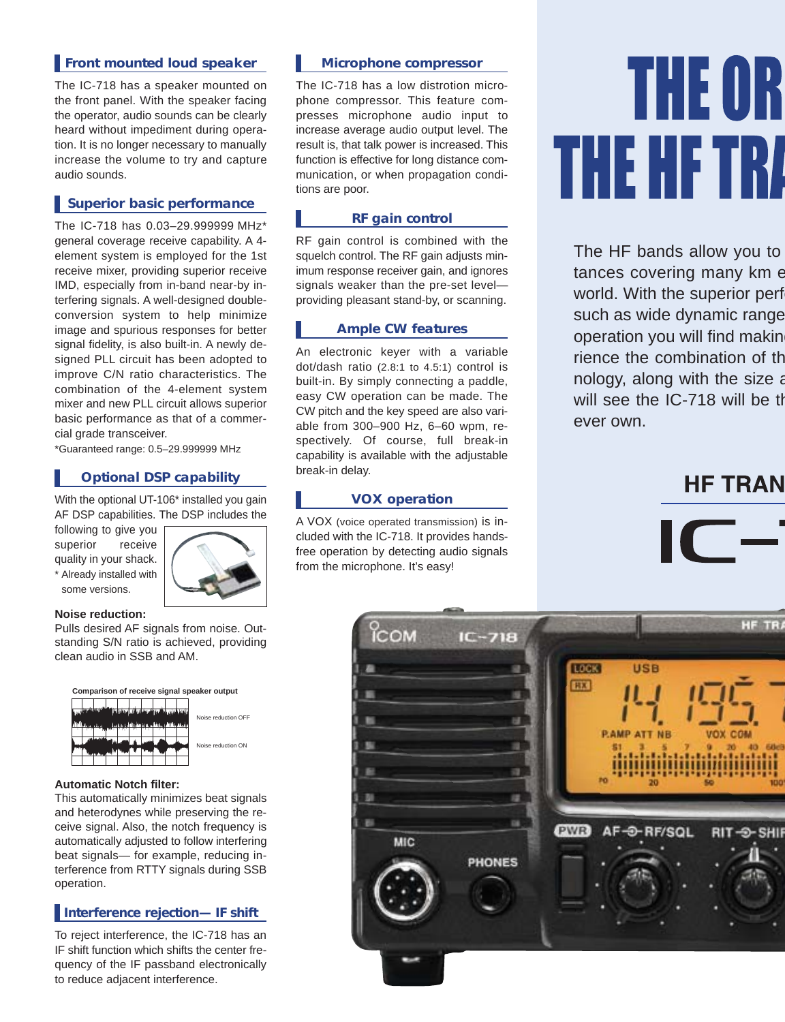#### **Front mounted loud speaker**

The IC-718 has a speaker mounted on the front panel. With the speaker facing the operator, audio sounds can be clearly heard without impediment during operation. It is no longer necessary to manually increase the volume to try and capture audio sounds.

#### **Superior basic performance**

The IC-718 has 0.03–29.999999 MHz\* general coverage receive capability. A 4 element system is employed for the 1st receive mixer, providing superior receive IMD, especially from in-band near-by interfering signals. A well-designed doubleconversion system to help minimize image and spurious responses for better signal fidelity, is also built-in. A newly designed PLL circuit has been adopted to improve C/N ratio characteristics. The combination of the 4-element system mixer and new PLL circuit allows superior basic performance as that of a commercial grade transceiver.

\*Guaranteed range: 0.5–29.999999 MHz

#### **Optional DSP capability**

With the optional UT-106<sup>\*</sup> installed you gain AF DSP capabilities. The DSP includes the

following to give you superior receive quality in your shack. \* Already installed with some versions.



#### **Noise reduction:**

Pulls desired AF signals from noise. Outstanding S/N ratio is achieved, providing clean audio in SSB and AM.



#### **Automatic Notch filter:**

This automatically minimizes beat signals and heterodynes while preserving the receive signal. Also, the notch frequency is automatically adjusted to follow interfering beat signals— for example, reducing interference from RTTY signals during SSB operation.

#### **Interference rejection— IF shift**

To reject interference, the IC-718 has an IF shift function which shifts the center frequency of the IF passband electronically to reduce adjacent interference.

#### **Microphone compressor**

The IC-718 has a low distrotion microphone compressor. This feature compresses microphone audio input to increase average audio output level. The result is, that talk power is increased. This function is effective for long distance communication, or when propagation conditions are poor.

#### **RF gain control**

RF gain control is combined with the squelch control. The RF gain adjusts minimum response receiver gain, and ignores signals weaker than the pre-set level providing pleasant stand-by, or scanning.

#### **Ample CW features**

An electronic keyer with a variable dot/dash ratio (2.8:1 to 4.5:1) control is built-in. By simply connecting a paddle, easy CW operation can be made. The CW pitch and the key speed are also variable from 300–900 Hz, 6–60 wpm, respectively. Of course, full break-in capability is available with the adjustable break-in delay.

#### **VOX operation**

A VOX (voice operated transmission) is included with the IC-718. It provides handsfree operation by detecting audio signals from the microphone. It's easy!

# **THE OR** THE HETRI

The HF bands allow you to tances covering many km e world. With the superior perf such as wide dynamic range operation you will find making rience the combination of th nology, along with the size a will see the IC-718 will be th ever own.

### **HF TRAN**



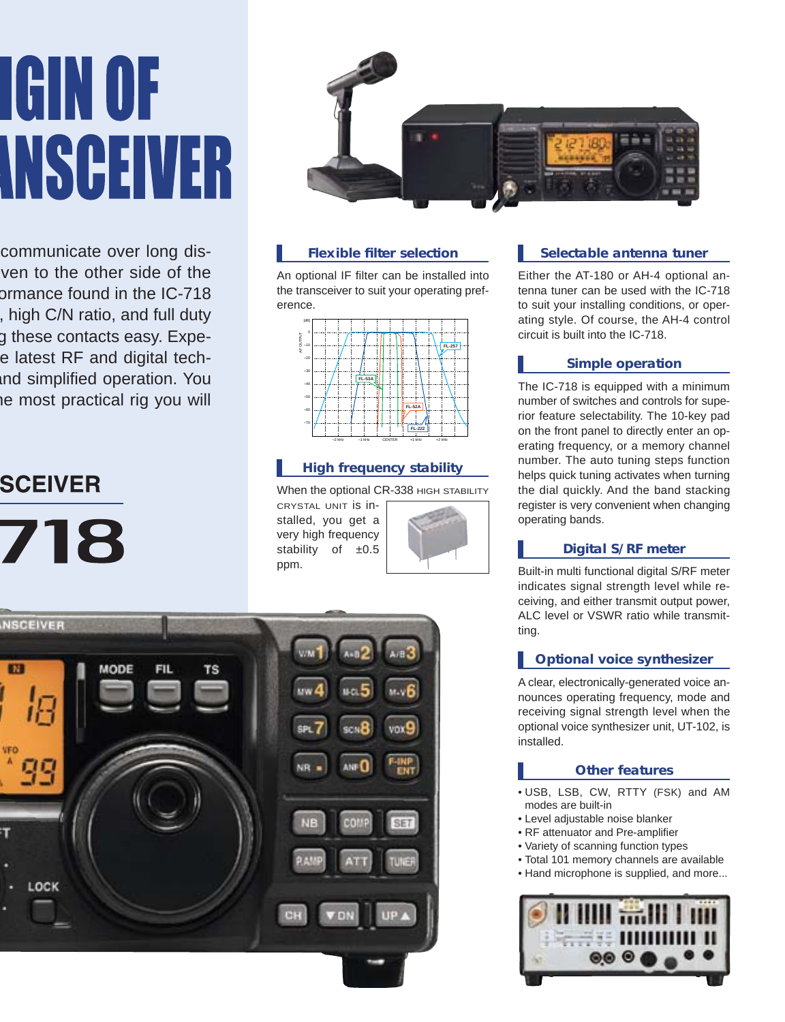# **IGIN OF INSCEIVER**

communicate over long disven to the other side of the ormance found in the IC-718 , high C/N ratio, and full duty g these contacts easy. Expee latest RF and digital techand simplified operation. You he most practical rig you will

## **SCEIVER**

718



#### **Flexible filter selection**

An optional IF filter can be installed into the transceiver to suit your operating preference.



#### **High frequency stability**

When the optional CR-338 HIGH STABILITY

CRYSTAL UNIT is installed, you get a very high frequency stability of  $±0.5$ ppm.





#### **Selectable antenna tuner**

Either the AT-180 or AH-4 optional antenna tuner can be used with the IC-718 to suit your installing conditions, or operating style. Of course, the AH-4 control circuit is built into the IC-718.

#### **Simple operation**

The IC-718 is equipped with a minimum number of switches and controls for superior feature selectability. The 10-key pad on the front panel to directly enter an operating frequency, or a memory channel number. The auto tuning steps function helps quick tuning activates when turning the dial quickly. And the band stacking register is very convenient when changing operating bands.

#### **Digital S/RF meter**

Built-in multi functional digital S/RF meter indicates signal strength level while receiving, and either transmit output power, ALC level or VSWR ratio while transmitting.

#### **Optional voice synthesizer**

A clear, electronically-generated voice announces operating frequency, mode and receiving signal strength level when the optional voice synthesizer unit, UT-102, is installed.

#### **Other features**

- USB, LSB, CW, RTTY (FSK) and AM modes are built-in
- Level adjustable noise blanker
- RF attenuator and Pre-amplifier
- Variety of scanning function types
- Total 101 memory channels are available
- Hand microphone is supplied, and more...